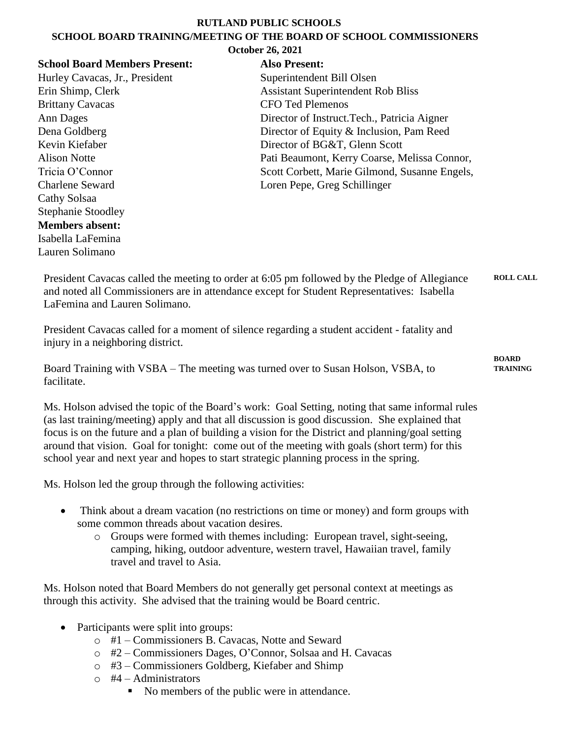#### **RUTLAND PUBLIC SCHOOLS**

#### **SCHOOL BOARD TRAINING/MEETING OF THE BOARD OF SCHOOL COMMISSIONERS October 26, 2021**

| <b>Also Present:</b>                          |
|-----------------------------------------------|
| Superintendent Bill Olsen                     |
| <b>Assistant Superintendent Rob Bliss</b>     |
| <b>CFO Ted Plemenos</b>                       |
| Director of Instruct. Tech., Patricia Aigner  |
| Director of Equity & Inclusion, Pam Reed      |
| Director of BG&T, Glenn Scott                 |
| Pati Beaumont, Kerry Coarse, Melissa Connor,  |
| Scott Corbett, Marie Gilmond, Susanne Engels, |
| Loren Pepe, Greg Schillinger                  |
|                                               |
|                                               |
|                                               |
|                                               |
|                                               |

President Cavacas called the meeting to order at 6:05 pm followed by the Pledge of Allegiance and noted all Commissioners are in attendance except for Student Representatives: Isabella LaFemina and Lauren Solimano. **ROLL CALL**

**BOARD** 

President Cavacas called for a moment of silence regarding a student accident - fatality and injury in a neighboring district.

Board Training with VSBA – The meeting was turned over to Susan Holson, VSBA, to facilitate. **TRAINING**

Ms. Holson advised the topic of the Board's work: Goal Setting, noting that same informal rules (as last training/meeting) apply and that all discussion is good discussion. She explained that focus is on the future and a plan of building a vision for the District and planning/goal setting around that vision. Goal for tonight: come out of the meeting with goals (short term) for this school year and next year and hopes to start strategic planning process in the spring.

Ms. Holson led the group through the following activities:

- Think about a dream vacation (no restrictions on time or money) and form groups with some common threads about vacation desires.
	- o Groups were formed with themes including: European travel, sight-seeing, camping, hiking, outdoor adventure, western travel, Hawaiian travel, family travel and travel to Asia.

Ms. Holson noted that Board Members do not generally get personal context at meetings as through this activity. She advised that the training would be Board centric.

- Participants were split into groups:
	- o #1 Commissioners B. Cavacas, Notte and Seward
	- o #2 Commissioners Dages, O'Connor, Solsaa and H. Cavacas
	- o #3 Commissioners Goldberg, Kiefaber and Shimp
	- $\circ$  #4 Administrators
		- No members of the public were in attendance.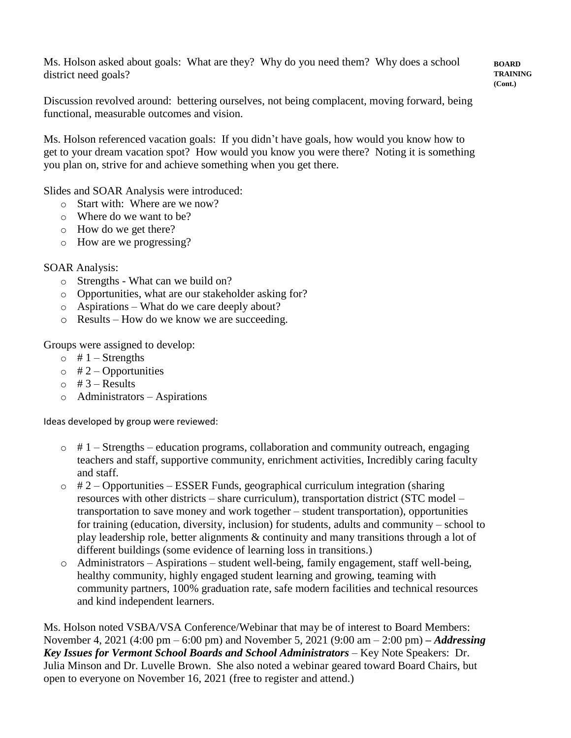Ms. Holson asked about goals: What are they? Why do you need them? Why does a school district need goals?

#### **BOARD TRAINING (Cont.)**

Discussion revolved around: bettering ourselves, not being complacent, moving forward, being functional, measurable outcomes and vision.

Ms. Holson referenced vacation goals: If you didn't have goals, how would you know how to get to your dream vacation spot? How would you know you were there? Noting it is something you plan on, strive for and achieve something when you get there.

Slides and SOAR Analysis were introduced:

- o Start with: Where are we now?
- o Where do we want to be?
- o How do we get there?
- o How are we progressing?

### SOAR Analysis:

- o Strengths What can we build on?
- o Opportunities, what are our stakeholder asking for?
- o Aspirations What do we care deeply about?
- o Results How do we know we are succeeding.

Groups were assigned to develop:

- $\circ$  # 1 Strengths
- $\circ$  # 2 Opportunities
- $\circ$  # 3 Results
- o Administrators Aspirations

Ideas developed by group were reviewed:

- $\circ$  # 1 Strengths education programs, collaboration and community outreach, engaging teachers and staff, supportive community, enrichment activities, Incredibly caring faculty and staff.
- $\circ$  # 2 Opportunities ESSER Funds, geographical curriculum integration (sharing resources with other districts – share curriculum), transportation district (STC model – transportation to save money and work together – student transportation), opportunities for training (education, diversity, inclusion) for students, adults and community – school to play leadership role, better alignments & continuity and many transitions through a lot of different buildings (some evidence of learning loss in transitions.)
- o Administrators Aspirations student well-being, family engagement, staff well-being, healthy community, highly engaged student learning and growing, teaming with community partners, 100% graduation rate, safe modern facilities and technical resources and kind independent learners.

Ms. Holson noted VSBA/VSA Conference/Webinar that may be of interest to Board Members: November 4, 2021 (4:00 pm – 6:00 pm) and November 5, 2021 (9:00 am – 2:00 pm) *– Addressing Key Issues for Vermont School Boards and School Administrators* – Key Note Speakers: Dr. Julia Minson and Dr. Luvelle Brown. She also noted a webinar geared toward Board Chairs, but open to everyone on November 16, 2021 (free to register and attend.)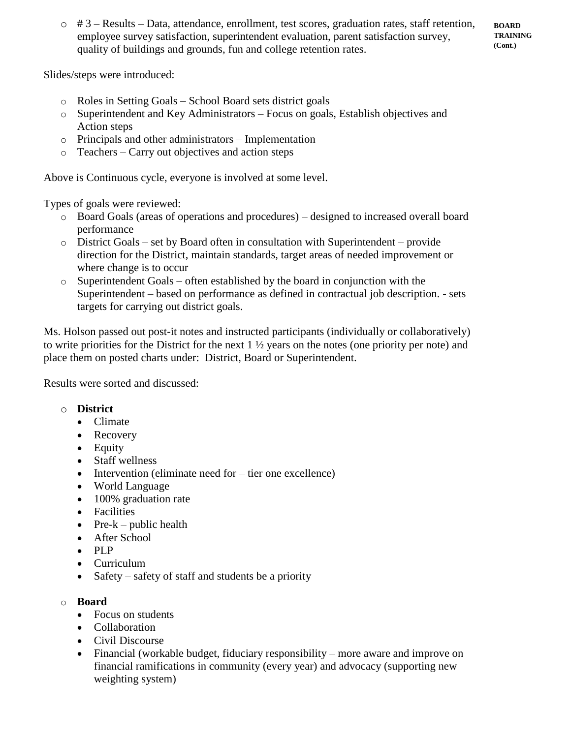$\circ$  # 3 – Results – Data, attendance, enrollment, test scores, graduation rates, staff retention, employee survey satisfaction, superintendent evaluation, parent satisfaction survey, quality of buildings and grounds, fun and college retention rates.

**BOARD TRAINING (Cont.)**

Slides/steps were introduced:

- o Roles in Setting Goals School Board sets district goals
- o Superintendent and Key Administrators Focus on goals, Establish objectives and Action steps
- o Principals and other administrators Implementation
- o Teachers Carry out objectives and action steps

Above is Continuous cycle, everyone is involved at some level.

Types of goals were reviewed:

- o Board Goals (areas of operations and procedures) designed to increased overall board performance
- $\circ$  District Goals set by Board often in consultation with Superintendent provide direction for the District, maintain standards, target areas of needed improvement or where change is to occur
- o Superintendent Goals often established by the board in conjunction with the Superintendent – based on performance as defined in contractual job description. - sets targets for carrying out district goals.

Ms. Holson passed out post-it notes and instructed participants (individually or collaboratively) to write priorities for the District for the next 1 ½ years on the notes (one priority per note) and place them on posted charts under: District, Board or Superintendent.

Results were sorted and discussed:

### o **District**

- Climate
- Recovery
- Equity
- Staff wellness
- Intervention (eliminate need for tier one excellence)
- World Language
- 100% graduation rate
- Facilities
- Pre- $k$  public health
- After School
- PLP
- Curriculum
- Safety safety of staff and students be a priority

### o **Board**

- Focus on students
- Collaboration
- Civil Discourse
- Financial (workable budget, fiduciary responsibility more aware and improve on financial ramifications in community (every year) and advocacy (supporting new weighting system)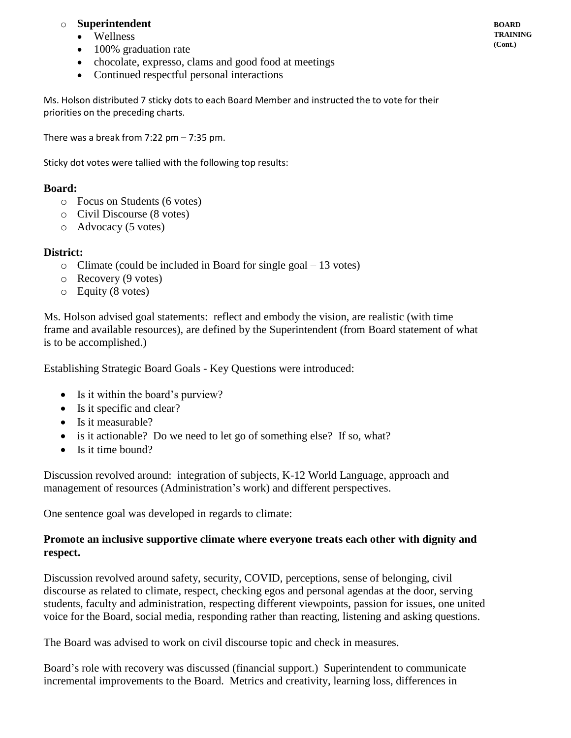# o **Superintendent**

- Wellness
- 100% graduation rate
- chocolate, expresso, clams and good food at meetings
- Continued respectful personal interactions

Ms. Holson distributed 7 sticky dots to each Board Member and instructed the to vote for their priorities on the preceding charts.

There was a break from  $7:22$  pm  $-7:35$  pm.

Sticky dot votes were tallied with the following top results:

## **Board:**

- o Focus on Students (6 votes)
- o Civil Discourse (8 votes)
- o Advocacy (5 votes)

## **District:**

- o Climate (could be included in Board for single goal 13 votes)
- o Recovery (9 votes)
- o Equity (8 votes)

Ms. Holson advised goal statements: reflect and embody the vision, are realistic (with time frame and available resources), are defined by the Superintendent (from Board statement of what is to be accomplished.)

Establishing Strategic Board Goals - Key Questions were introduced:

- Is it within the board's purview?
- Is it specific and clear?
- Is it measurable?
- is it actionable? Do we need to let go of something else? If so, what?
- Is it time bound?

Discussion revolved around: integration of subjects, K-12 World Language, approach and management of resources (Administration's work) and different perspectives.

One sentence goal was developed in regards to climate:

## **Promote an inclusive supportive climate where everyone treats each other with dignity and respect.**

Discussion revolved around safety, security, COVID, perceptions, sense of belonging, civil discourse as related to climate, respect, checking egos and personal agendas at the door, serving students, faculty and administration, respecting different viewpoints, passion for issues, one united voice for the Board, social media, responding rather than reacting, listening and asking questions.

The Board was advised to work on civil discourse topic and check in measures.

Board's role with recovery was discussed (financial support.) Superintendent to communicate incremental improvements to the Board. Metrics and creativity, learning loss, differences in